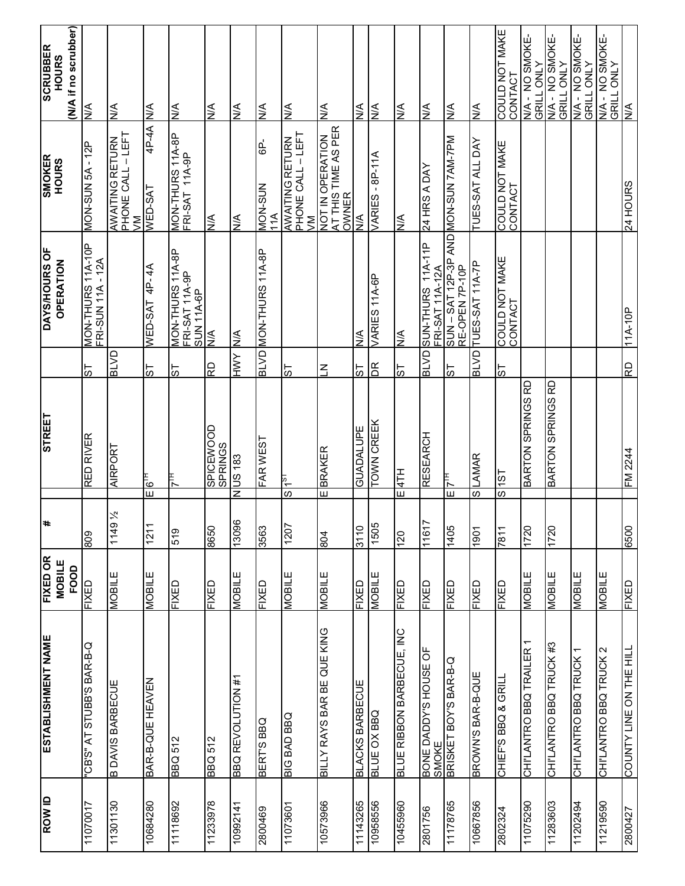| $\frac{1}{2}$                        | 24 HOURS                                          | $11A-10P$                                                           | αŁ             | FM 2244                   | 6500                             | <b>QEXI-</b>                     | COUNTY LINE ON THE HILL           | 2800427       |
|--------------------------------------|---------------------------------------------------|---------------------------------------------------------------------|----------------|---------------------------|----------------------------------|----------------------------------|-----------------------------------|---------------|
| N/A - NO SMOKE-<br>GRILL ONLY        |                                                   |                                                                     |                |                           |                                  | <b>NOBILE</b>                    | CHI'LANTRO BBQ TRUCK 2            | 11219590      |
| N/A - NO SMOKE-<br>GRILL ONLY        |                                                   |                                                                     |                |                           |                                  | MOBILE                           | CHI'LANTRO BBQ TRUCK              | 11202494      |
| N/A - NO SMOKE-<br>GRILL ONLY        |                                                   |                                                                     |                | <b>BARTON SPRINGS RD</b>  | 1720                             | <b>MOBILE</b>                    | CHI'LANTRO BBQ TRUCK #3           | 11283603      |
| N/A - NO SMOKE-<br><b>GRILL ONLY</b> |                                                   |                                                                     |                | <b>BARTON SPRINGS RD</b>  | 1720                             | <b>MOBILE</b>                    | CHI'LANTRO BBQ TRAILER            | 11075290      |
| COULD NOT MAKE<br>CONTACT            | COULD NOT MAKE<br>CONTACT                         | COULD NOT MAKE<br>CONTACT                                           | 55             | 1S)                       | $\overline{\mathcal{S}}$<br>7811 | FIXED                            | CHIEF'S BBQ & GRILL               | 2802324       |
| <b>A</b>                             | TUES-SAT ALL DAY                                  | TUES-SAT 11A-7P                                                     | <b>BLVD</b>    | <b>LAMAR</b>              | $\overline{\omega}$<br>1901      | <b>QEXI-</b>                     | BROWN'S BAR-B-QUE                 | 10667856      |
| $\frac{1}{2}$                        |                                                   | SUN – SAT 12P-3P AND <mark>MON-SUN 7AM-7PM</mark><br>RE-OPEN 7P-10P | 55             |                           | Ш<br>1405                        | FIXED                            | BRISKET BOY'S BAR-B-Q             | 11178765      |
| $\frac{4}{5}$                        | AVO V SAH 77                                      | SUN-THURS 11A-11P<br>FRI-SAT 11A-12A                                | <b>ELVDT</b>   | RESEARCH                  | Ľ<br>1161                        | FIXED                            | BONE DADDY'S HOUSE OF<br>SMOKE    | 2801756       |
| $\frac{4}{2}$                        | <b>AV</b>                                         | ΝA<br>                                                              | 55             | H1#                       | Ш<br>071                         | <b>GEXIE</b>                     | BLUE RIBBON BARBECUE, INC         | 10455960      |
| <b>Δ</b>                             | VARIES - 8P-11A                                   | VARIES 11A-6P                                                       | $\mathsf{R}$   | <b>LOWN CREEK</b>         | 1505                             | <b>NOBILE</b>                    | <b>BLUE OX BBQ</b>                | 10958560      |
| ≸                                    | $\frac{1}{2}$                                     | $\frac{1}{2}$                                                       | ದ              | GUADALUPE                 | 3110                             | <b>QEXI-</b>                     | <b>BLACKS BARBECUE</b>            | 11143265      |
| $\frac{4}{2}$                        | AT THIS TIME AS PER<br>OWNER<br>NOT IN OPERATION  |                                                                     | $\overline{z}$ | <b>BRAKER</b>             | E<br>E08                         | MOBILE                           | <b>BILLY RAYS BAR BE QUE KING</b> | 10573966      |
| $\frac{1}{2}$                        | PHONE CALL - LEFT<br>AWAITING RETURN<br>$\geq$    |                                                                     | 55             | ıs k                      | $\overline{\omega}$<br>1207      | <b>MOBILE</b>                    | <b>DIG BAD BBQ</b>                | 11073601      |
| $\frac{1}{2}$                        | GP-<br>MON-SUN<br>11A                             | MON-THURS 11A-8P                                                    | <b>AVB</b>     | FAR WEST                  | £95                              | <b>QEXI-</b>                     | <b>BERT'S BBQ</b>                 | 2800469       |
| ı≸                                   | <b>A</b>                                          | <b>A/N</b>                                                          | <b>AMH</b>     | <b>US183</b>              | z<br>96081                       | <b>MOBILE</b>                    | <b>BBQ REVOLUTION #1</b>          | 10992141      |
| $\frac{4}{5}$                        | <b>AV</b>                                         | l≶l                                                                 | RD             | SPICEWOOD<br>SPRINGS      | 0998                             | <b>GEXIE</b>                     | <b>BBQ 512</b>                    | 11233978      |
| $\frac{4}{5}$                        | MON-THURS 11A-8P<br>FRI-SAT 11A-9P                | MON-THURS 11A-8P<br>FRI-SAT 11A-9P<br>SUN 11A-6P                    | 55             | Ĕ                         | 519                              | <b>GEXIE</b>                     | <b>BBQ 512</b>                    | 11118692      |
| $\frac{4}{2}$                        | 4P-4A<br>WED-SAT                                  | WED-SAT 4P-4A                                                       | 57             | $\mathbf{F}_{\mathbf{G}}$ | Ш<br>121'                        | <b>NOBILE</b>                    | BAR-B-QUE HEAVEN                  | 10684280      |
| $\frac{4}{5}$                        | PHONE CALL – LEFT<br>VM<br><b>AWAITING RETURN</b> |                                                                     | <b>G/TB</b>    | AIRPORT                   | $9\frac{1}{2}$<br>1145           | <b>NOBILE</b>                    | <b>B DAVIS BARBECUE</b>           | 11301130      |
| <b>AV</b>                            | MON-SUN 5A - 12P                                  | MON-THURS 11A-10P<br>FRI-SUN 11A - 12A                              | 55             | RED RIVER                 | 608                              | FIXED                            | O-8-SAG S.BALLS LV S.BO           | 11070017      |
| (N/A if no scrubber)                 |                                                   |                                                                     |                |                           |                                  | FOOD                             |                                   |               |
| <b>SCRUBBER</b><br><b>HOURS</b>      | <b>SMOKER</b><br><b>HOURS</b>                     | <b>DAYS/HOURS OF</b><br><b>OPERATION</b>                            |                | <b>STREET</b>             | #                                | <b>FIXED OR</b><br><b>MOBILE</b> | ESTABLISHMENT NAME                | <b>ROW ID</b> |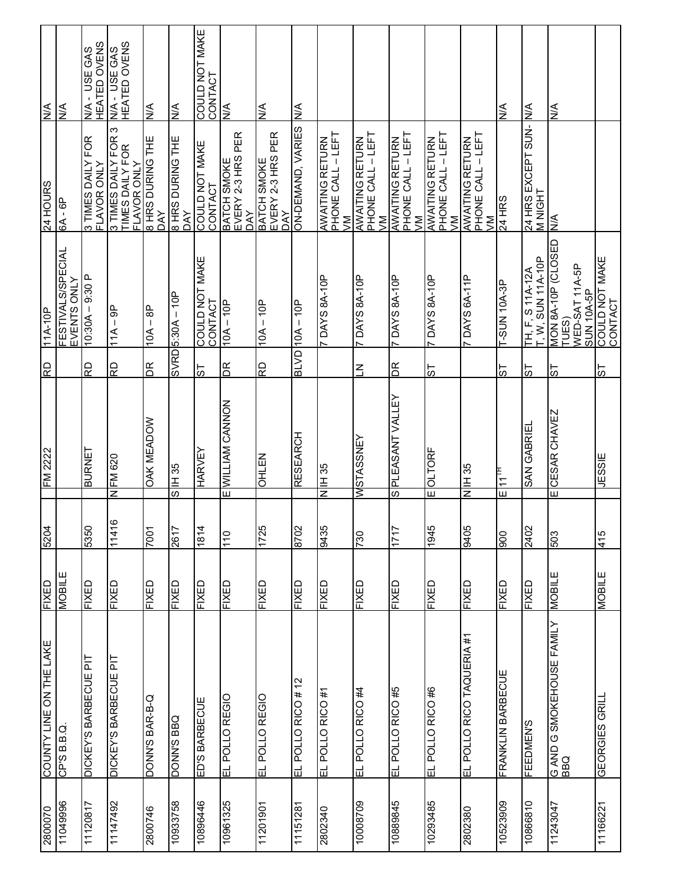| 2800070  | COUNTY LINE ON THE LAKE          | FIXED         | 5204            | FM 2222                                        | QŁ           | $11A-10P$                                                          | 24 HOURS                                                        | <b>V/N</b>                                  |
|----------|----------------------------------|---------------|-----------------|------------------------------------------------|--------------|--------------------------------------------------------------------|-----------------------------------------------------------------|---------------------------------------------|
| 96667011 | CP'S B.B.Q                       | <b>NOBILE</b> |                 |                                                |              | <b>FESTIVALS/SPECIAL</b><br>EVENTS ONLY                            | 6A - 6P                                                         | <b>AV</b>                                   |
| 11120817 | DICKEY'S BARBECUE PIT            | FIXED         | 5350            | BURNET                                         | Q<br>R       | $10:30A - 9:30P$                                                   | 3 TIMES DAILY FOR<br>FLAVOR ONLY                                | N/A - USE GAS<br>HEATED OVENS               |
| 11147492 | DICKEY'S BARBECUE PIT            | <b>GEXIE</b>  | ဖ<br>1141       | <b>FM 620</b><br>z                             | <b>Q</b>     | $11A - 9P$                                                         | 3 TIMES DAILY FOR 3<br>TIMES DAILY FOR<br>FLAVOR ONLY           | <b>HEATED OVENS</b><br><b>N/A - USE GAS</b> |
| 2800746  | D-8-AVB S.NNO                    | <b>UENI</b>   | 7001            | <b>OAK MEADOW</b>                              | $\mathbb{R}$ | $10A - 8P$                                                         | 8 HRS DURING THE<br><b>AY</b>                                   | $\frac{4}{2}$                               |
| 10933758 | DGB SANOQ                        | <b>UENI</b>   | LP <sub>3</sub> | IH 35<br>ဖ                                     |              | $SVRDB:30A - 10P$                                                  | 8 HRS DURING THE<br>DAY                                         | $\frac{4}{2}$                               |
| 10896446 | ED'S BARBECUE                    | <b>GEXIE</b>  | 1814            | HARVEY                                         | 55           | COULD NOT MAKE<br>CONTACT                                          | COULD NOT MAKE<br>CONTACT                                       | COULD NOT MAKE<br>CONTACT                   |
| 10961325 | EL POLLO REGIO                   | <b>GEXIE</b>  | $\frac{0}{1}$   | E WILLIAM CANNON                               | $\mathbb{R}$ | $10A - 10P$                                                        | EVERY 2-3 HRS PER<br>BATCH SMOKE<br><b>DAY</b>                  | <b>AV</b>                                   |
| 11201901 | EL POLLO REGIO                   | <b>GEXIE</b>  | <b>5ZZL</b>     | <b>OHLEN</b>                                   | RD           | $10A - 10P$                                                        | EVERY 2-3 HRS PER<br>BATCH SMOKE<br><b>AY</b>                   | ⋚                                           |
| 11151281 | EL POLLO RICO # 12               | <b>GEXIE</b>  | 2078            | RESEARCH                                       |              | $BLVD$ $10A - 10P$                                                 | ON-DEMAND, VARIES                                               | $\frac{4}{2}$                               |
| 2802340  | EL POLLO RICO #1                 | <b>FIXED</b>  | 8435            | N IH 35                                        |              | DAYS 8A-10P                                                        | AWAITING RETURN<br> PHONE CALL – LEFT<br> VM                    |                                             |
| 10008709 | EL POLLO RICO #4                 | <b>QEXI-</b>  | 082             | <b>MSTASSNEY</b>                               | $\leq$       | <b>TDAYS 8A-10P</b>                                                | PHONE CALL – LEFT<br>VM<br><b>AWAITING RETURN</b>               |                                             |
| 10889845 | EL POLLO RICO #5                 | <b>GEXIE</b>  | <b>LLL</b>      | PLEASANT VALLEY<br>ဖ                           | $\mathbb{E}$ | 100-y8 SAYO                                                        | AWAITING RETURN<br>PHONE CALL – LEFT<br>VM                      |                                             |
| 10293485 | EL POLLO RICO #6                 | <b>QEXIE</b>  | 9+6             | <b>OLTORF</b><br>Ш                             | 19           | T DAYS 8A-10P                                                      | PHONE CALL - LEFT<br><b>AWAITING RETURN</b><br>$\sum_{i=1}^{n}$ |                                             |
| 2802380  | EL POLLO RICO TAQUERIA #1        | <b>QEXI-</b>  | 8405            | <b>BSHI</b><br>$\overline{\mathsf{z}}$         |              | TDAYS 6A-11P                                                       | PHONE CALL – LEFT<br>VM<br><b>AWAITING RETURN</b>               |                                             |
| 10523009 | <b>ERANKLIN BARBECUE</b>         | <b>GEXIE</b>  | 006             | म<br>भ1™<br>Ш                                  | 5            | -SUN 10A-3P                                                        | <b>24 HRS</b>                                                   | $\frac{1}{2}$                               |
| 10866810 | <b>FEEDMEN'S</b>                 | FIXED         | 2402            | <b>SAN GABRIEI</b>                             | 1S           | $T, W, SUN 11A-10P$<br><b>TH, F, S 11A-12A</b>                     | 24 HRS EXCEPT SUN-<br><b>MNIGHT</b>                             | <b>A</b>                                    |
| 11243047 | G AND G SMOKEHOUSE FAMILY<br>BBQ | <b>SURICE</b> | £03             | <b>CESAR CHAVEZ</b><br>$\overline{\mathsf{u}}$ | 55           | VION 8A-10P (CLOSED<br>WED-SAT 11A-5P<br>SUN 10A-5P<br><b>TUES</b> | N/A                                                             | ⋚                                           |
| 11166221 | GEORGIES GRILL                   | <b>NOBILE</b> | 415             | <b>JESSIE</b>                                  | 55           | COULD NOT MAKE<br>CONTACT                                          |                                                                 |                                             |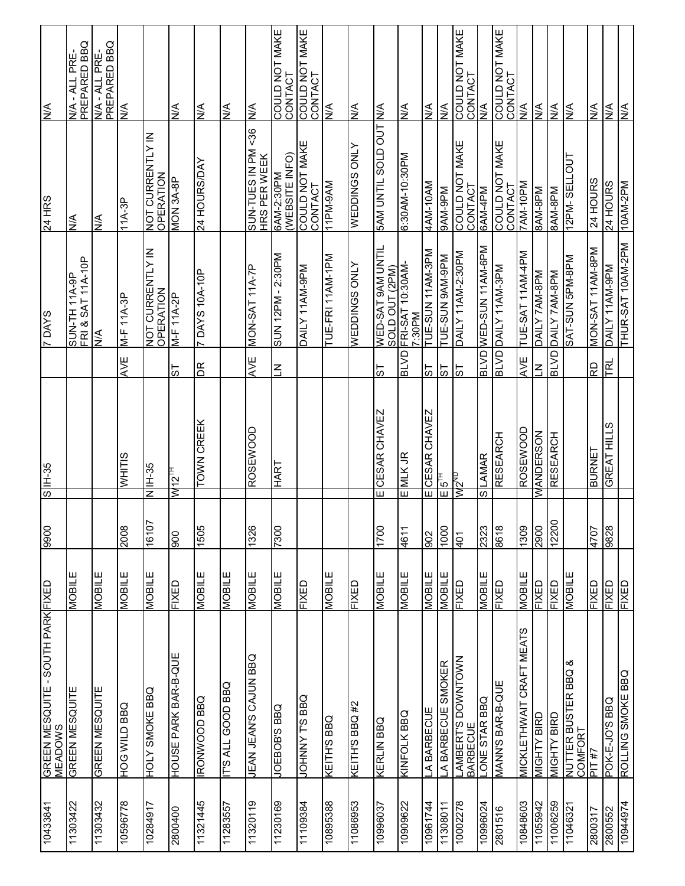| 10433841 | GREEN MESQUITE - SOUTH PARK FIXED<br><b>MEADOWS</b> |                | 9900            | <b>SS-HI</b> S                          |                         | <b>SAVO 4</b>                                | <b>24 HRS</b>                        | <b>V/N</b>                     |
|----------|-----------------------------------------------------|----------------|-----------------|-----------------------------------------|-------------------------|----------------------------------------------|--------------------------------------|--------------------------------|
| 11303422 | GREEN MESQUITE                                      | <b>NOBILE</b>  |                 |                                         |                         | SUN-TH 11A-9P<br>FRI & SAT 11A-10P           | $\frac{4}{2}$                        | PREPARED BBQ<br>N/A - ALL PRE- |
| 11303432 | GREEN MESQUITE                                      | MOBILE         |                 |                                         |                         | $\frac{4}{2}$                                | $\frac{4}{2}$                        | PREPARED BBQ<br>V/A - ALL PRE- |
| 8779650  | DBB Q JIM SOH                                       | <b>MOBILE</b>  | 2008            | <b>WHITIS</b>                           | AVE                     | $M-F$ 11A-3P                                 | $11A-3P$                             | <b>AV</b>                      |
| 10284917 | <b>DOLY SMOKE BBQ</b>                               | <b>MOBILE</b>  | 16107           | <b>SS-HI</b><br>$\overline{\mathsf{z}}$ |                         | NOT CURRENTLY IN<br>OPERATION                | <b>NOT CURRENTLY IN</b><br>OPERATION |                                |
| 2800400  | HOUSE PARK BAR-B-QU                                 | <b>GEXIE</b>   | 006             | н<br>МИ2                                | ದ                       | M-F 11A-2P                                   | VION 3A-8P                           | <b>AV</b>                      |
| 11321445 | DBB QOOMNON                                         | <b>NOBILE</b>  | <b>SOS</b>      | <b>TOWN CREEK</b>                       | ЯQ                      | <b>7 DAYS 10A-10P</b>                        | 24 HOURS/DAY                         | $\frac{4}{2}$                  |
| 11283557 | <b>IT'S ALL GOOD BBQ</b>                            | <b>NOBILE</b>  |                 |                                         |                         |                                              |                                      | $\frac{1}{2}$                  |
| 11320119 | <b>DEAN JEAN'S CAULE MABLE</b>                      | <b>NOBILE</b>  | 1326            | <b>ROSEWOOD</b>                         | AVE                     | MON-SAT 11A-7P                               | 56<br>NH N SELL-NOS<br>HRS PER WEEK  | ЖN                             |
| 11230169 | <b>DBS S.BOB3ON</b>                                 | <b>MOBILE</b>  | 0084            | <b>LAVH</b>                             | $\overline{\mathsf{Z}}$ | SUN 12PM-2:30PM                              | WEBSITE INFO)<br>6AM-2:30PM          | COULD NOT MAKE<br>CONTACT      |
| 11109384 | <b>DOHNNY T'S BBQ</b>                               | FIXED          |                 |                                         |                         | DAILY 11AM-9PM                               | COULD NOT MAKE<br>CONTACT            | CONTACT<br>COULD NOT MAKE      |
| 10895388 | <b>KEILH2 BBO</b>                                   | MOBILE         |                 |                                         |                         | TUE-FRI 11AM-1PM                             | MV6-Wdl1                             | <b>AV</b>                      |
| 11086953 | KEITH'S BBQ #2                                      | <b>QEXI-</b>   |                 |                                         |                         | <b>A TNO SONIGED</b>                         | <b>WEDDINGS ONLY</b>                 | <b>A/N</b>                     |
| 1099607  | <b>KERLIN BBQ</b>                                   | <b>MOBILE</b>  | 004             | <b>CESAR CHAVEZ</b><br>π                | 57                      | <b>WED-SAT 9AM UNTIL</b>                     | <b>TOO GTOS TILNN MAS</b>            | ΝA                             |
| 10909622 | KINFOLK BBQ                                         | MOBILE         | 1194            | $E$ MLK JR                              | <b>UVTB</b>             | SOLD OUT (2PM)<br>FRI-SAT 10:30AM-<br>7:30PM | 0:30AM-10:30PM                       | <b>AV</b>                      |
| 10961744 | A BARBECUE                                          | MOBILE         | 802             | CESAR CHAVEZ<br>$\overline{\mathsf{m}}$ | 5                       | TUE-SUN 11AM-3PM                             | 4AM-10AM                             | <b>A/N</b>                     |
| 11308011 | A BARBECUE SMOKER                                   | MOBILE         | 000             | $\mathbb{E}$                            | 5                       | Md6-MV6 NNS-3NL                              | Md6-MV6                              | <b>A</b>                       |
| 10002278 | LAMBERT'S DOWNTOWN<br>BARBECUE                      | FIXED          | 10 <sub>b</sub> | un ZMN                                  | 75                      | DAILY 11AM-2:30PM                            | COULD NOT MAKE<br>CONTACT            | COULD NOT MAKE<br>CONTACT      |
| 10996024 | LONE STAR BBQ                                       | MOBILE         | 2323            | LAMAR<br>S)                             | <b>ALISE</b>            | Md9-WVII NNS-Q3M                             | 6AM-4PM                              | <b>AV</b>                      |
| 2801516  | MANN'S BAR-B-QUE                                    | <b>LIXED</b>   | 8198            | RESEARCH                                |                         | BLVD DAILY 11AM-3PM                          | COULD NOT MAKE<br>CONTACT            | COULD NOT MAKE<br>CONTACT      |
| 10848603 | MICKLETHWAIT CRAFT MEATS                            | <b>MOBILE</b>  | 608             | <b>ROSEWOOD</b>                         | AVE                     | TUE-SAT 11AM-4PM                             | 7AM-10PM                             | $\frac{4}{5}$                  |
| 11055942 | <b>MIGHTY BIRD</b>                                  | <b>CIENED</b>  | 2900            | <b>WANDERSON</b>                        | $\overline{z}$          | Md8-WAZ ATIYO                                | Md8-WV8                              | <b>AV</b>                      |
| 11006259 | <b>MIGHTY BIRD</b>                                  | <b>CI3XI-L</b> | 12200           | <b>RESEARCH</b>                         | <b>UATE</b>             | Md8-WVZ ATIVO                                | <b>Md8-WV8</b>                       | <b>A/N</b>                     |
| 11046321 | య<br>NUTTER BUSTER BBQ<br><b>COMFORT</b>            | <b>MOBILE</b>  |                 |                                         |                         | Md8-Md9 NNS-IAS                              | 12PM-SELLOUT                         | <b>N/A</b>                     |
| 2800317  | 4# 1ld                                              | <b>QEXIE</b>   | <b>LOL+</b>     | <b>BURNET</b>                           | RD                      | MON-SAT 11AM-8PM                             | 24 HOURS                             | <b>A</b>                       |
| 2800552  | DOK-E-JO'S BBQ                                      | FIXED          | 828             | GREAT HILLS                             | I¤                      | DAILY 11AM-9PM                               | <b>24 HOURS</b>                      | l≶                             |
| 10944974 | ROLLING SMOKE BBQ                                   | FIXED          |                 |                                         |                         | THUR-SAT 10AM-2PM                            | 10AM-2PM                             | $\frac{4}{5}$                  |